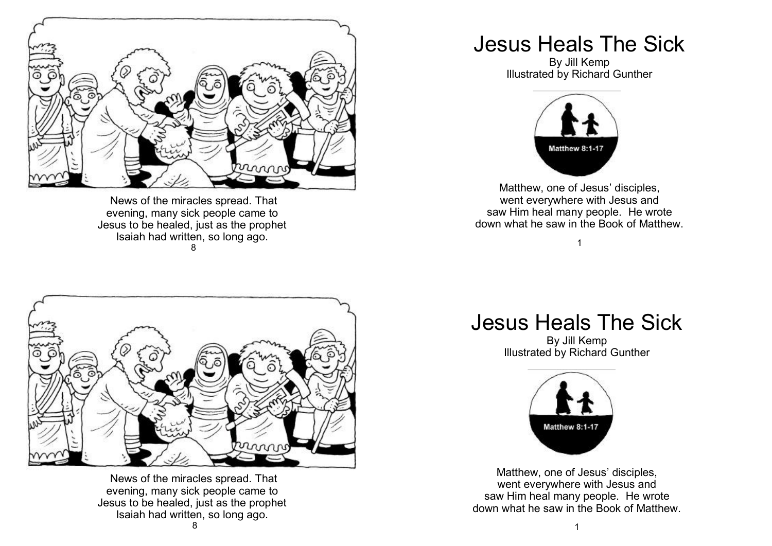

News of the miracles spread. That evening, many sick people came to Jesus to be healed, just as the prophet Isaiah had written, so long ago. 8

## Jesus Heals The Sick

By Jill Kemp Illustrated by Richard Gunther



Matthew, one of Jesus' disciples, went everywhere with Jesus and saw Him heal many people. He wrote down what he saw in the Book of Matthew.

1



News of the miracles spread. That evening, many sick people came to Jesus to be healed, just as the prophet Isaiah had written, so long ago.

## Jesus Heals The Sick

By Jill Kemp Illustrated by Richard Gunther



Matthew, one of Jesus' disciples, went everywhere with Jesus and saw Him heal many people. He wrote down what he saw in the Book of Matthew.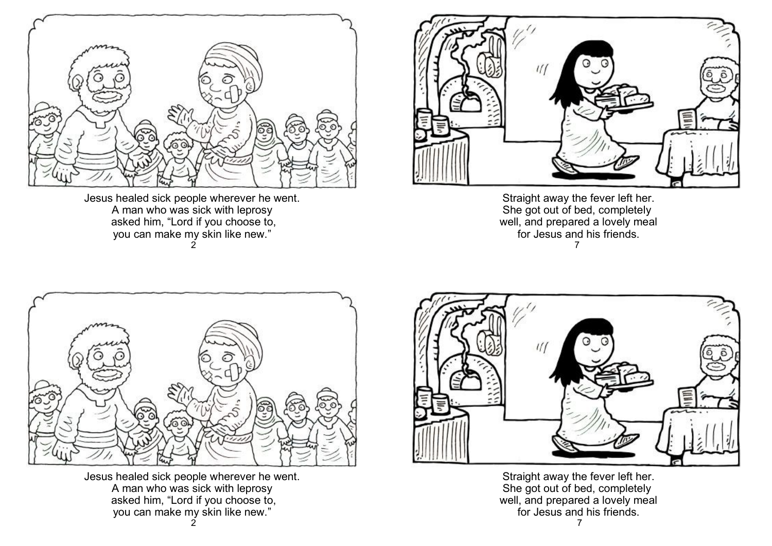

Jesus healed sick people wherever he went. A man who was sick with leprosy asked him, "Lord if you choose to, you can make my skin like new." 2



Straight away the fever left her. She got out of bed, completely well, and prepared a lovely meal for Jesus and his friends. 7



Jesus healed sick people wherever he went. A man who was sick with leprosy asked him, "Lord if you choose to, you can make my skin like new."



Straight away the fever left her. She got out of bed, completely well, and prepared a lovely meal for Jesus and his friends.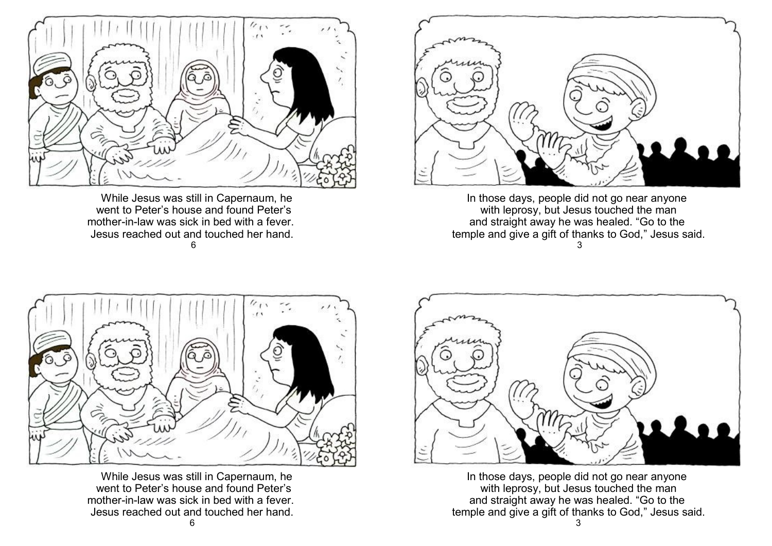

 While Jesus was still in Capernaum, he went to Peter's house and found Peter's mother-in-law was sick in bed with a fever. Jesus reached out and touched her hand. 6



In those days, people did not go near anyone with leprosy, but Jesus touched the man and straight away he was healed. "Go to the temple and give a gift of thanks to God," Jesus said. 3



 While Jesus was still in Capernaum, he went to Peter's house and found Peter's mother-in-law was sick in bed with a fever. Jesus reached out and touched her hand.



In those days, people did not go near anyone with leprosy, but Jesus touched the man and straight away he was healed. "Go to the temple and give a gift of thanks to God," Jesus said.